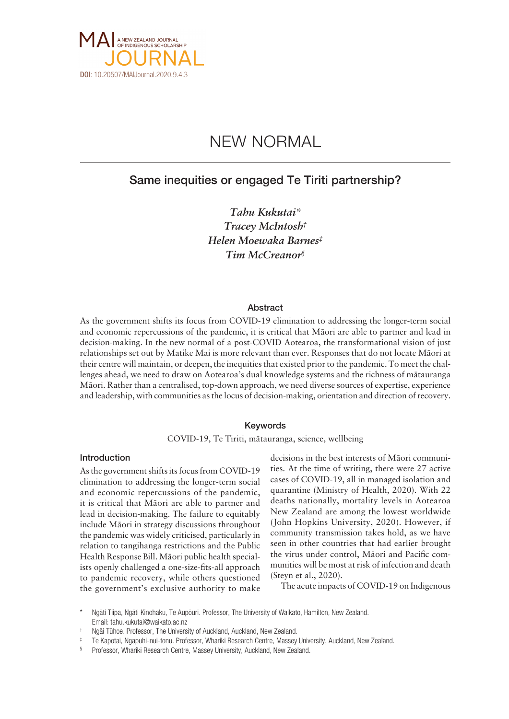

# NEW NORMAL

# Same inequities or engaged Te Tiriti partnership?

*Tahu Kukutai\* Tracey McIntosh† Helen Moewaka Barnes‡ Tim McCreanor§*

#### Abstract

As the government shifts its focus from COVID-19 elimination to addressing the longer-term social and economic repercussions of the pandemic, it is critical that Mäori are able to partner and lead in decision-making. In the new normal of a post-COVID Aotearoa, the transformational vision of just relationships set out by Matike Mai is more relevant than ever. Responses that do not locate Mäori at their centre will maintain, or deepen, the inequities that existed prior to the pandemic. To meet the challenges ahead, we need to draw on Aotearoa's dual knowledge systems and the richness of mätauranga Mäori. Rather than a centralised, top-down approach, we need diverse sources of expertise, experience and leadership, with communities as the locus of decision-making, orientation and direction of recovery.

## Keywords

COVID-19, Te Tiriti, mätauranga, science, wellbeing

## Introduction

As the government shifts its focus from COVID-19 elimination to addressing the longer-term social and economic repercussions of the pandemic, it is critical that Mäori are able to partner and lead in decision-making. The failure to equitably include Mäori in strategy discussions throughout the pandemic was widely criticised, particularly in relation to tangihanga restrictions and the Public Health Response Bill. Mäori public health specialists openly challenged a one-size-fits-all approach to pandemic recovery, while others questioned the government's exclusive authority to make

decisions in the best interests of Mäori communities. At the time of writing, there were 27 active cases of COVID-19, all in managed isolation and quarantine (Ministry of Health, 2020). With 22 deaths nationally, mortality levels in Aotearoa New Zealand are among the lowest worldwide (John Hopkins University, 2020). However, if community transmission takes hold, as we have seen in other countries that had earlier brought the virus under control, Mäori and Pacific communities will be most at risk of infection and death (Steyn et al., 2020).

The acute impacts of COVID-19 on Indigenous

Ngāti Tiipa, Ngāti Kinohaku, Te Aupōuri. Professor, The University of Waikato, Hamilton, New Zealand. Email: tahu.kukutai@waikato.ac.nz

<sup>†</sup> Ngäi Tühoe. Professor, The University of Auckland, Auckland, New Zealand.

Te Kapotai, Ngapuhi-nui-tonu. Professor, Whariki Research Centre, Massey University, Auckland, New Zealand.

<sup>§</sup> Professor, Whariki Research Centre, Massey University, Auckland, New Zealand.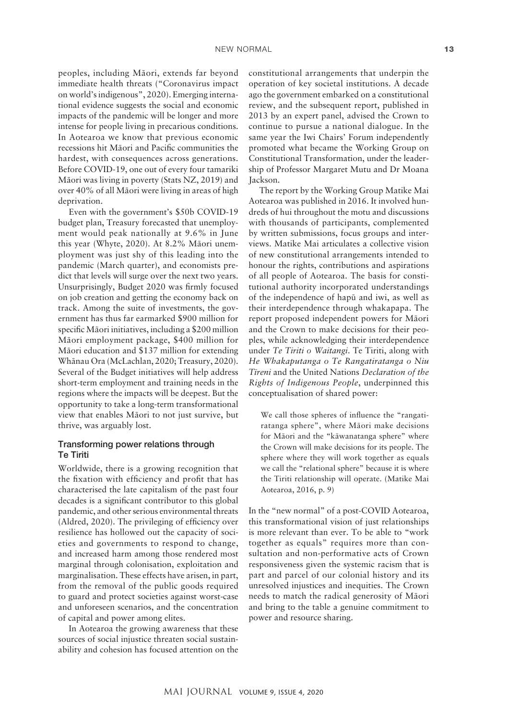peoples, including Mäori, extends far beyond immediate health threats ("Coronavirus impact on world's indigenous", 2020). Emerging international evidence suggests the social and economic impacts of the pandemic will be longer and more intense for people living in precarious conditions. In Aotearoa we know that previous economic recessions hit Mäori and Pacific communities the hardest, with consequences across generations. Before COVID-19, one out of every four tamariki Mäori was living in poverty (Stats NZ, 2019) and over 40% of all Mäori were living in areas of high deprivation.

Even with the government's \$50b COVID-19 budget plan, Treasury forecasted that unemployment would peak nationally at 9.6% in June this year (Whyte, 2020). At 8.2% Mäori unemployment was just shy of this leading into the pandemic (March quarter), and economists predict that levels will surge over the next two years. Unsurprisingly, Budget 2020 was firmly focused on job creation and getting the economy back on track. Among the suite of investments, the government has thus far earmarked \$900 million for specific Mäori initiatives, including a \$200 million Mäori employment package, \$400 million for Mäori education and \$137 million for extending Whänau Ora (McLachlan, 2020; Treasury, 2020). Several of the Budget initiatives will help address short-term employment and training needs in the regions where the impacts will be deepest. But the opportunity to take a long-term transformational view that enables Mäori to not just survive, but thrive, was arguably lost.

# Transforming power relations through Te Tiriti

Worldwide, there is a growing recognition that the fixation with efficiency and profit that has characterised the late capitalism of the past four decades is a significant contributor to this global pandemic, and other serious environmental threats (Aldred, 2020). The privileging of efficiency over resilience has hollowed out the capacity of societies and governments to respond to change, and increased harm among those rendered most marginal through colonisation, exploitation and marginalisation. These effects have arisen, in part, from the removal of the public goods required to guard and protect societies against worst-case and unforeseen scenarios, and the concentration of capital and power among elites.

In Aotearoa the growing awareness that these sources of social injustice threaten social sustainability and cohesion has focused attention on the

constitutional arrangements that underpin the operation of key societal institutions. A decade ago the government embarked on a constitutional review, and the subsequent report, published in 2013 by an expert panel, advised the Crown to continue to pursue a national dialogue. In the same year the Iwi Chairs' Forum independently promoted what became the Working Group on Constitutional Transformation, under the leadership of Professor Margaret Mutu and Dr Moana Jackson.

The report by the Working Group Matike Mai Aotearoa was published in 2016. It involved hundreds of hui throughout the motu and discussions with thousands of participants, complemented by written submissions, focus groups and interviews. Matike Mai articulates a collective vision of new constitutional arrangements intended to honour the rights, contributions and aspirations of all people of Aotearoa. The basis for constitutional authority incorporated understandings of the independence of hapü and iwi, as well as their interdependence through whakapapa. The report proposed independent powers for Mäori and the Crown to make decisions for their peoples, while acknowledging their interdependence under *Te Tiriti o Waitangi*. Te Tiriti, along with *He Whakaputanga o Te Rangatiratanga o Niu Tïreni* and the United Nations *Declaration of the Rights of Indigenous People*, underpinned this conceptualisation of shared power:

We call those spheres of influence the "rangatiratanga sphere", where Mäori make decisions for Mäori and the "käwanatanga sphere" where the Crown will make decisions for its people. The sphere where they will work together as equals we call the "relational sphere" because it is where the Tiriti relationship will operate. (Matike Mai Aotearoa, 2016, p. 9)

In the "new normal" of a post-COVID Aotearoa, this transformational vision of just relationships is more relevant than ever. To be able to "work together as equals" requires more than consultation and non-performative acts of Crown responsiveness given the systemic racism that is part and parcel of our colonial history and its unresolved injustices and inequities. The Crown needs to match the radical generosity of Mäori and bring to the table a genuine commitment to power and resource sharing.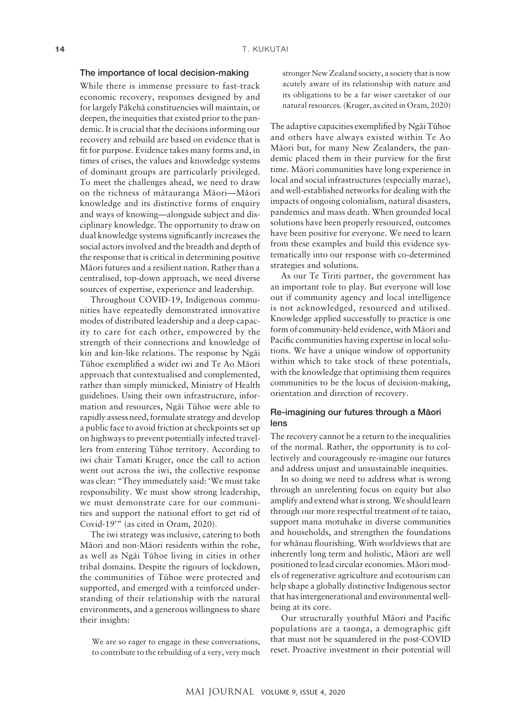## The importance of local decision-making

While there is immense pressure to fast-track economic recovery, responses designed by and for largely Päkehä constituencies will maintain, or deepen, the inequities that existed prior to the pandemic. It is crucial that the decisions informing our recovery and rebuild are based on evidence that is fit for purpose. Evidence takes many forms and, in times of crises, the values and knowledge systems of dominant groups are particularly privileged. To meet the challenges ahead, we need to draw on the richness of mätauranga Mäori—Mäori knowledge and its distinctive forms of enquiry and ways of knowing—alongside subject and disciplinary knowledge. The opportunity to draw on dual knowledge systems significantly increases the social actors involved and the breadth and depth of the response that is critical in determining positive Mäori futures and a resilient nation. Rather than a centralised, top-down approach, we need diverse sources of expertise, experience and leadership.

Throughout COVID-19, Indigenous communities have repeatedly demonstrated innovative modes of distributed leadership and a deep capacity to care for each other, empowered by the strength of their connections and knowledge of kin and kin-like relations. The response by Ngäi Tühoe exemplified a wider iwi and Te Ao Mäori approach that contextualised and complemented, rather than simply mimicked, Ministry of Health guidelines. Using their own infrastructure, information and resources, Ngäi Tühoe were able to rapidly assess need, formulate strategy and develop a public face to avoid friction at checkpoints set up on highways to prevent potentially infected travellers from entering Tühoe territory. According to iwi chair Tamati Kruger, once the call to action went out across the iwi, the collective response was clear: "They immediately said: 'We must take responsibility. We must show strong leadership, we must demonstrate care for our communities and support the national effort to get rid of Covid-19'" (as cited in Oram, 2020).

The iwi strategy was inclusive, catering to both Mäori and non-Mäori residents within the rohe, as well as Ngäi Tühoe living in cities in other tribal domains. Despite the rigours of lockdown, the communities of Tühoe were protected and supported, and emerged with a reinforced understanding of their relationship with the natural environments, and a generous willingness to share their insights:

We are so eager to engage in these conversations, to contribute to the rebuilding of a very, very much

stronger New Zealand society, a society that is now acutely aware of its relationship with nature and its obligations to be a far wiser caretaker of our natural resources. (Kruger, as cited in Oram, 2020)

The adaptive capacities exemplified by Ngäi Tühoe and others have always existed within Te Ao Mäori but, for many New Zealanders, the pandemic placed them in their purview for the first time. Mäori communities have long experience in local and social infrastructures (especially marae), and well-established networks for dealing with the impacts of ongoing colonialism, natural disasters, pandemics and mass death. When grounded local solutions have been properly resourced, outcomes have been positive for everyone. We need to learn from these examples and build this evidence systematically into our response with co-determined strategies and solutions.

As our Te Tiriti partner, the government has an important role to play. But everyone will lose out if community agency and local intelligence is not acknowledged, resourced and utilised. Knowledge applied successfully to practice is one form of community-held evidence, with Mäori and Pacific communities having expertise in local solutions. We have a unique window of opportunity within which to take stock of these potentials, with the knowledge that optimising them requires communities to be the locus of decision-making, orientation and direction of recovery.

# Re-imagining our futures through a Mäori lens

The recovery cannot be a return to the inequalities of the normal. Rather, the opportunity is to collectively and courageously re-imagine our futures and address unjust and unsustainable inequities.

In so doing we need to address what is wrong through an unrelenting focus on equity but also amplify and extend what is strong. We should learn through our more respectful treatment of te taiao, support mana motuhake in diverse communities and households, and strengthen the foundations for whänau flourishing. With worldviews that are inherently long term and holistic, Mäori are well positioned to lead circular economies. Mäori models of regenerative agriculture and ecotourism can help shape a globally distinctive Indigenous sector that has intergenerational and environmental wellbeing at its core.

Our structurally youthful Mäori and Pacific populations are a taonga, a demographic gift that must not be squandered in the post-COVID reset. Proactive investment in their potential will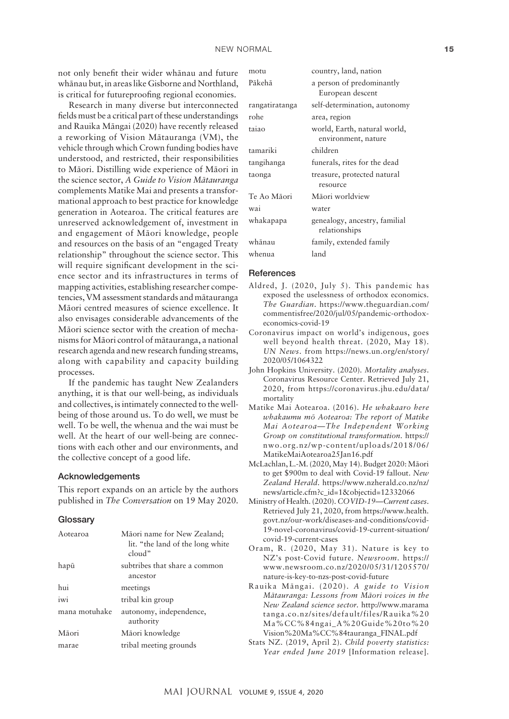not only benefit their wider whänau and future whänau but, in areas like Gisborne and Northland, is critical for futureproofing regional economies.

Research in many diverse but interconnected fields must be a critical part of these understandings and Rauika Mängai (2020) have recently released a reworking of Vision Mätauranga (VM), the vehicle through which Crown funding bodies have understood, and restricted, their responsibilities to Mäori. Distilling wide experience of Mäori in the science sector, *A Guide to Vision Mätauranga* complements Matike Mai and presents a transformational approach to best practice for knowledge generation in Aotearoa. The critical features are unreserved acknowledgement of, investment in and engagement of Mäori knowledge, people and resources on the basis of an "engaged Treaty relationship" throughout the science sector. This will require significant development in the science sector and its infrastructures in terms of mapping activities, establishing researcher competencies, VM assessment standards and mätauranga Mäori centred measures of science excellence. It also envisages considerable advancements of the Mäori science sector with the creation of mechanisms for Mäori control of mätauranga, a national research agenda and new research funding streams, along with capability and capacity building processes.

If the pandemic has taught New Zealanders anything, it is that our well-being, as individuals and collectives, is intimately connected to the wellbeing of those around us. To do well, we must be well. To be well, the whenua and the wai must be well. At the heart of our well-being are connections with each other and our environments, and the collective concept of a good life.

#### Acknowledgements

This report expands on an article by the authors published in *The Conversation* on 19 May 2020.

#### **Glossary**

| Aotearoa      | Māori name for New Zealand;<br>lit. "the land of the long white<br>cloud" |
|---------------|---------------------------------------------------------------------------|
| hapū          | subtribes that share a common<br>ancestor                                 |
| hui           | meetings                                                                  |
| iwi           | tribal kin group                                                          |
| mana motuhake | autonomy, independence,<br>authority                                      |
| Māori         | Māori knowledge                                                           |
| marae         | tribal meeting grounds                                                    |

| motu           | country, land, nation                               |
|----------------|-----------------------------------------------------|
| Pākehā         | a person of predominantly<br>European descent       |
| rangatiratanga | self-determination, autonomy                        |
| rohe           | area, region                                        |
| taiao          | world, Earth, natural world,<br>environment, nature |
| tamariki       | children                                            |
| tangihanga     | funerals, rites for the dead                        |
| taonga         | treasure, protected natural<br>resource             |
| Te Ao Māori    | Māori worldview                                     |
| wai            | water                                               |
| whakapapa      | genealogy, ancestry, familial<br>relationships      |
| whānau         | family, extended family                             |
| whenua         | land                                                |

#### **References**

- Aldred, J. (2020, July 5). This pandemic has exposed the uselessness of orthodox economics. *The Guardian*. [https://www.theguardian.com/](https://www.theguardian.com/commentisfree/2020/jul/05/pandemic-orthodox-economics-covid-19) [commentisfree/2020/jul/05/pandemic-orthodox](https://www.theguardian.com/commentisfree/2020/jul/05/pandemic-orthodox-economics-covid-19)[economics-covid-19](https://www.theguardian.com/commentisfree/2020/jul/05/pandemic-orthodox-economics-covid-19)
- Coronavirus impact on world's indigenous, goes well beyond health threat. (2020, May 18). *UN News*. from [https://news.un.org/en/story/](https://news.un.org/en/story/2020/05/1064322) [2020/05/1064322](https://news.un.org/en/story/2020/05/1064322)
- John Hopkins University. (2020). *Mortality analyses*. Coronavirus Resource Center. Retrieved July 21, 2020, from [https://coronavirus.jhu.edu/data/](https://coronavirus.jhu.edu/data/mortality) [mortality](https://coronavirus.jhu.edu/data/mortality)
- Matike Mai Aotearoa. (2016). *He whakaaro here whakaumu mö Aotearoa: The report of Matike Mai Aotearoa—The Independent Working Group on constitutional transformation*. [https://](https://nwo.org.nz/wp-content/uploads/2018/06/MatikeMaiAotearoa25Jan16.pdf) [nwo.org.nz/wp-content/uploads/2018/06/](https://nwo.org.nz/wp-content/uploads/2018/06/MatikeMaiAotearoa25Jan16.pdf) [MatikeMaiAotearoa25Jan16.pdf](https://nwo.org.nz/wp-content/uploads/2018/06/MatikeMaiAotearoa25Jan16.pdf)
- McLachlan, L.-M. (2020, May 14). Budget 2020: Mäori to get \$900m to deal with Covid-19 fallout. *New Zealand Herald*. [https://www.nzherald.co.nz/nz/](https://www.nzherald.co.nz/nz/news/article.cfm?c_id=1&objectid=12332066) [news/article.cfm?c\\_id=1&objectid=12332066](https://www.nzherald.co.nz/nz/news/article.cfm?c_id=1&objectid=12332066)
- Ministry of Health. (2020). *COVID-19—Current cases*. Retrieved July 21, 2020, from [https://www.health.](https://www.health.govt.nz/our-work/diseases-and-conditions/covid-19-novel-coronavirus/covid-19-current-situation/covid-19-current-cases) [govt.nz/our-work/diseases-and-conditions/covid-](https://www.health.govt.nz/our-work/diseases-and-conditions/covid-19-novel-coronavirus/covid-19-current-situation/covid-19-current-cases)[19-novel-coronavirus/covid-19-current-situation/](https://www.health.govt.nz/our-work/diseases-and-conditions/covid-19-novel-coronavirus/covid-19-current-situation/covid-19-current-cases) [covid-19-current-cases](https://www.health.govt.nz/our-work/diseases-and-conditions/covid-19-novel-coronavirus/covid-19-current-situation/covid-19-current-cases)
- Oram, R. (2020, May 31). Nature is key to NZ's post-Covid future. *Newsroom*. [https://](https://www.newsroom.co.nz/2020/05/31/1205570/nature-is-key-to-nzs-post-covid-future) [www.newsroom.co.nz/2020/05/31/1205570/](https://www.newsroom.co.nz/2020/05/31/1205570/nature-is-key-to-nzs-post-covid-future) [nature-is-key-to-nzs-post-covid-future](https://www.newsroom.co.nz/2020/05/31/1205570/nature-is-key-to-nzs-post-covid-future)
- Rauika Mängai. (2020). *A guide to Vision Mätauranga: Lessons from Mäori voices in the New Zealand science sector.* [http://www.marama](http://www.maramatanga.co.nz/sites/default/files/Rauika Ma%CC%84ngai_A Guide to Vision Ma%CC%84tauranga_FINAL.pdf) [tanga.co.nz/sites/default/files/Rauika%20](http://www.maramatanga.co.nz/sites/default/files/Rauika Ma%CC%84ngai_A Guide to Vision Ma%CC%84tauranga_FINAL.pdf) [Ma%CC%84ngai\\_A%20Guide%20to%20](http://www.maramatanga.co.nz/sites/default/files/Rauika Ma%CC%84ngai_A Guide to Vision Ma%CC%84tauranga_FINAL.pdf) [Vision%20Ma%CC%84tauranga\\_FINAL.pdf](http://www.maramatanga.co.nz/sites/default/files/Rauika Ma%CC%84ngai_A Guide to Vision Ma%CC%84tauranga_FINAL.pdf)
- Stats NZ. (2019, April 2). *Child poverty statistics: Year ended June 2019* [Information release].